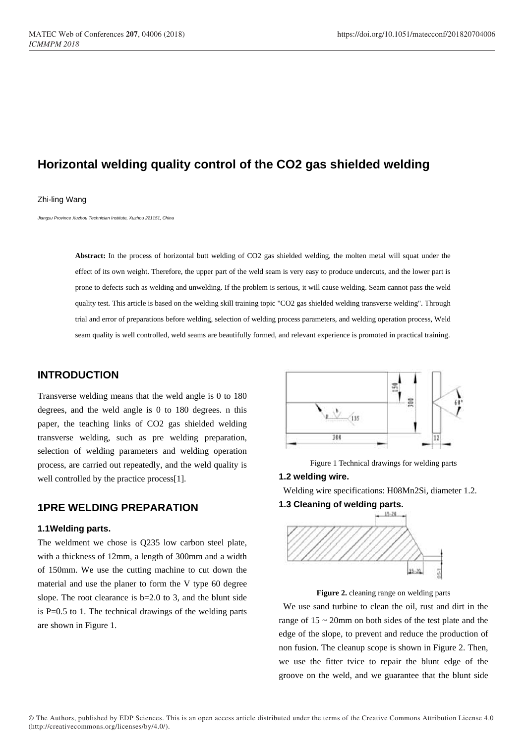# **Horizontal welding quality control of the CO2 gas shielded welding**

#### Zhi-ling Wang

*Jiangsu Province Xuzhou Technician Institute, Xuzhou 221151, China*

**Abstract:** In the process of horizontal butt welding of CO2 gas shielded welding, the molten metal will squat under the effect of its own weight. Therefore, the upper part of the weld seam is very easy to produce undercuts, and the lower part is prone to defects such as welding and unwelding. If the problem is serious, it will cause welding. Seam cannot pass the weld quality test. This article is based on the welding skill training topic "CO2 gas shielded welding transverse welding". Through trial and error of preparations before welding, selection of welding process parameters, and welding operation process, Weld seam quality is well controlled, weld seams are beautifully formed, and relevant experience is promoted in practical training.

# **INTRODUCTION**

Transverse welding means that the weld angle is 0 to 180 degrees, and the weld angle is 0 to 180 degrees. n this paper, the teaching links of CO2 gas shielded welding transverse welding, such as pre welding preparation, selection of welding parameters and welding operation process, are carried out repeatedly, and the weld quality is well controlled by the practice process[1].

# **1PRE WELDING PREPARATION**

#### **1.1Welding parts.**

The weldment we chose is Q235 low carbon steel plate, with a thickness of 12mm, a length of 300mm and a width of 150mm. We use the cutting machine to cut down the material and use the planer to form the V type 60 degree slope. The root clearance is  $b=2.0$  to 3, and the blunt side is P=0.5 to 1. The technical drawings of the welding parts are shown in Figure 1.



Figure 1 Technical drawings for welding parts

# **1.2 welding wire.**

Welding wire specifications: H08Mn2Si, diameter 1.2.

**1.3 Cleaning of welding parts.**



**Figure 2.** cleaning range on welding parts

We use sand turbine to clean the oil, rust and dirt in the range of  $15 \sim 20$ mm on both sides of the test plate and the edge of the slope, to prevent and reduce the production of non fusion. The cleanup scope is shown in Figure 2. Then, we use the fitter tvice to repair the blunt edge of the groove on the weld, and we guarantee that the blunt side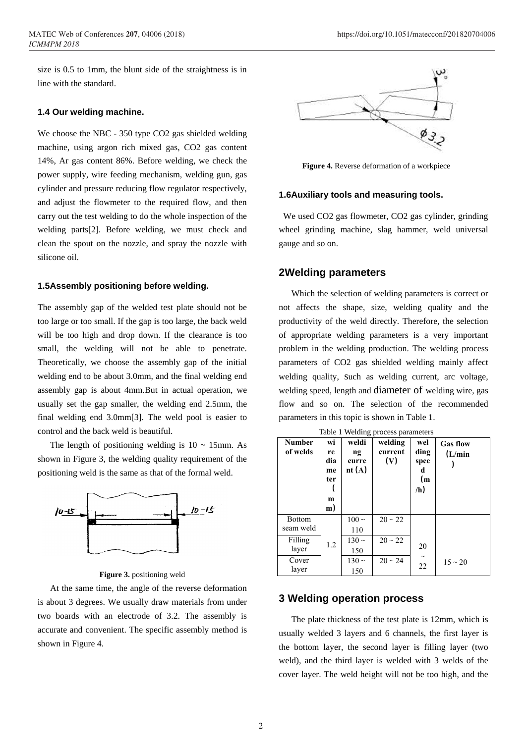size is 0.5 to 1mm, the blunt side of the straightness is in line with the standard.

#### **1.4 Our welding machine.**

We choose the NBC - 350 type CO2 gas shielded welding machine, using argon rich mixed gas, CO2 gas content 14%, Ar gas content 86%. Before welding, we check the power supply, wire feeding mechanism, welding gun, gas cylinder and pressure reducing flow regulator respectively, and adjust the flowmeter to the required flow, and then carry out the test welding to do the whole inspection of the welding parts[2]. Before welding, we must check and clean the spout on the nozzle, and spray the nozzle with silicone oil.

## **1.5Assembly positioning before welding.**

The assembly gap of the welded test plate should not be too large or too small. If the gap is too large, the back weld will be too high and drop down. If the clearance is too small, the welding will not be able to penetrate. Theoretically, we choose the assembly gap of the initial welding end to be about 3.0mm, and the final welding end assembly gap is about 4mm.But in actual operation, we usually set the gap smaller, the welding end 2.5mm, the final welding end 3.0mm[3]. The weld pool is easier to control and the back weld is beautiful.

The length of positioning welding is  $10 \sim 15$ mm. As shown in Figure 3, the welding quality requirement of the positioning weld is the same as that of the formal weld.



**Figure 3.** positioning weld

At the same time, the angle of the reverse deformation is about 3 degrees. We usually draw materials from under two boards with an electrode of 3.2. The assembly is accurate and convenient. The specific assembly method is shown in Figure 4.



**Figure 4.** Reverse deformation of a workpiece

#### **1.6Auxiliary tools and measuring tools.**

We used CO2 gas flowmeter, CO2 gas cylinder, grinding wheel grinding machine, slag hammer, weld universal gauge and so on.

## **2Welding parameters**

Which the selection of welding parameters is correct or not affects the shape, size, welding quality and the productivity of the weld directly. Therefore, the selection of appropriate welding parameters is a very important problem in the welding production. The welding process parameters of CO2 gas shielded welding mainly affect welding quality, such as welding current, arc voltage, welding speed, length and diameter of welding wire, gas flow and so on. The selection of the recommended parameters in this topic is shown in Table 1.

Table 1 Welding process parameters

| <b>Number</b><br>of welds  | wi<br>re<br>dia<br>me<br>ter<br>m<br>m) | weldi<br>$n_{\mathfrak{L}}$<br>curre<br>nt $(A)$ | welding<br>current<br>(V) | wel<br>ding<br>spee<br>d<br>(m)<br>/h) | <b>Gas flow</b><br>(L/min) |
|----------------------------|-----------------------------------------|--------------------------------------------------|---------------------------|----------------------------------------|----------------------------|
| <b>Bottom</b><br>seam weld | 1.2                                     | $100 \sim$<br>110                                | $20 \sim 22$              | 20                                     |                            |
| Filling<br>layer           |                                         | $130 \sim$<br>150                                | $20 \sim 22$              |                                        |                            |
| Cover<br>layer             |                                         | $130 \sim$<br>150                                | $20 \sim 24$              | $\tilde{}$<br>22                       | $15 \sim 20$               |

# **3 Welding operation process**

The plate thickness of the test plate is 12mm, which is usually welded 3 layers and 6 channels, the first layer is the bottom layer, the second layer is filling layer (two weld), and the third layer is welded with 3 welds of the cover layer. The weld height will not be too high, and the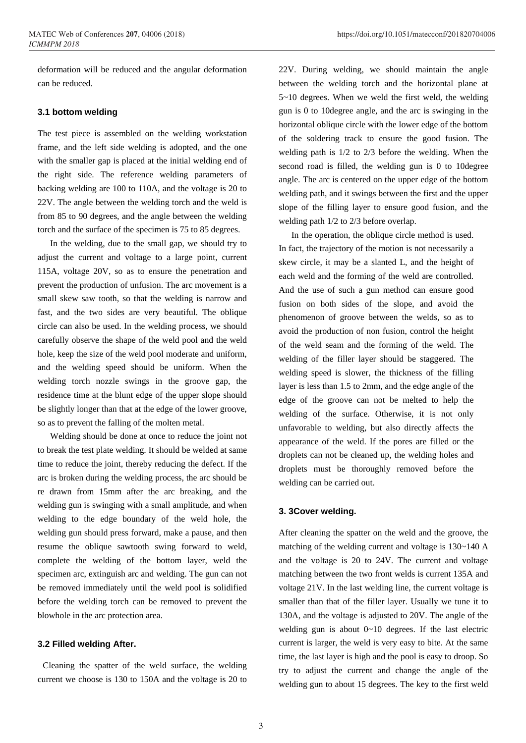deformation will be reduced and the angular deformation can be reduced.

## **3.1 bottom welding**

The test piece is assembled on the welding workstation frame, and the left side welding is adopted, and the one with the smaller gap is placed at the initial welding end of the right side. The reference welding parameters of backing welding are 100 to 110A, and the voltage is 20 to 22V. The angle between the welding torch and the weld is from 85 to 90 degrees, and the angle between the welding torch and the surface of the specimen is 75 to 85 degrees.

In the welding, due to the small gap, we should try to adjust the current and voltage to a large point, current 115A, voltage 20V, so as to ensure the penetration and prevent the production of unfusion. The arc movement is a small skew saw tooth, so that the welding is narrow and fast, and the two sides are very beautiful. The oblique circle can also be used. In the welding process, we should carefully observe the shape of the weld pool and the weld hole, keep the size of the weld pool moderate and uniform, and the welding speed should be uniform. When the welding torch nozzle swings in the groove gap, the residence time at the blunt edge of the upper slope should be slightly longer than that at the edge of the lower groove, so as to prevent the falling of the molten metal.

Welding should be done at once to reduce the joint not to break the test plate welding. It should be welded at same time to reduce the joint, thereby reducing the defect. If the arc is broken during the welding process, the arc should be re drawn from 15mm after the arc breaking, and the welding gun is swinging with a small amplitude, and when welding to the edge boundary of the weld hole, the welding gun should press forward, make a pause, and then resume the oblique sawtooth swing forward to weld, complete the welding of the bottom layer, weld the specimen arc, extinguish arc and welding. The gun can not be removed immediately until the weld pool is solidified before the welding torch can be removed to prevent the blowhole in the arc protection area.

#### **3.2 Filled welding After.**

Cleaning the spatter of the weld surface, the welding current we choose is 130 to 150A and the voltage is 20 to 22V. During welding, we should maintain the angle between the welding torch and the horizontal plane at 5~10 degrees. When we weld the first weld, the welding gun is 0 to 10degree angle, and the arc is swinging in the horizontal oblique circle with the lower edge of the bottom of the soldering track to ensure the good fusion. The welding path is 1/2 to 2/3 before the welding. When the second road is filled, the welding gun is 0 to 10degree angle. The arc is centered on the upper edge of the bottom welding path, and it swings between the first and the upper slope of the filling layer to ensure good fusion, and the welding path 1/2 to 2/3 before overlap.

In the operation, the oblique circle method is used. In fact, the trajectory of the motion is not necessarily a skew circle, it may be a slanted L, and the height of each weld and the forming of the weld are controlled. And the use of such a gun method can ensure good fusion on both sides of the slope, and avoid the phenomenon of groove between the welds, so as to avoid the production of non fusion, control the height of the weld seam and the forming of the weld. The welding of the filler layer should be staggered. The welding speed is slower, the thickness of the filling layer is less than 1.5 to 2mm, and the edge angle of the edge of the groove can not be melted to help the welding of the surface. Otherwise, it is not only unfavorable to welding, but also directly affects the appearance of the weld. If the pores are filled or the droplets can not be cleaned up, the welding holes and droplets must be thoroughly removed before the welding can be carried out.

#### **3. 3Cover welding.**

After cleaning the spatter on the weld and the groove, the matching of the welding current and voltage is 130~140 A and the voltage is 20 to 24V. The current and voltage matching between the two front welds is current 135A and voltage 21V. In the last welding line, the current voltage is smaller than that of the filler layer. Usually we tune it to 130A, and the voltage is adjusted to 20V. The angle of the welding gun is about  $0 \sim 10$  degrees. If the last electric current is larger, the weld is very easy to bite. At the same time, the last layer is high and the pool is easy to droop. So try to adjust the current and change the angle of the welding gun to about 15 degrees. The key to the first weld